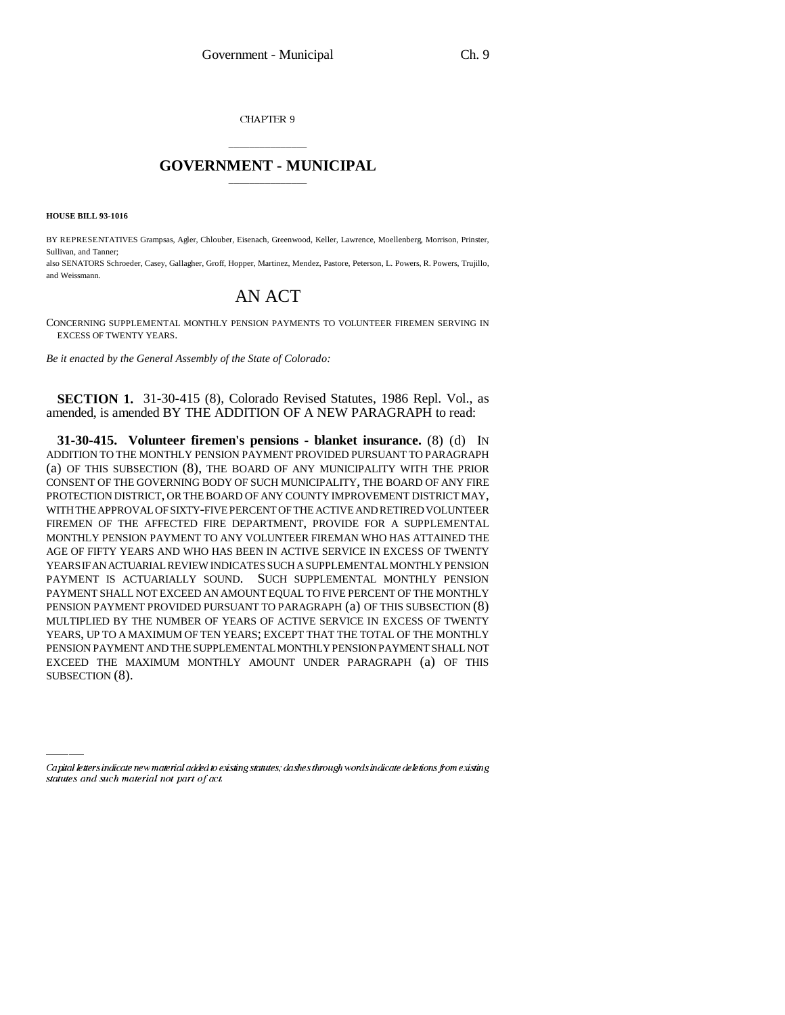CHAPTER 9

## \_\_\_\_\_\_\_\_\_\_\_\_\_\_\_ **GOVERNMENT - MUNICIPAL** \_\_\_\_\_\_\_\_\_\_\_\_\_\_\_

**HOUSE BILL 93-1016**

BY REPRESENTATIVES Grampsas, Agler, Chlouber, Eisenach, Greenwood, Keller, Lawrence, Moellenberg, Morrison, Prinster, Sullivan, and Tanner;

also SENATORS Schroeder, Casey, Gallagher, Groff, Hopper, Martinez, Mendez, Pastore, Peterson, L. Powers, R. Powers, Trujillo, and Weissmann.

## AN ACT

CONCERNING SUPPLEMENTAL MONTHLY PENSION PAYMENTS TO VOLUNTEER FIREMEN SERVING IN EXCESS OF TWENTY YEARS.

*Be it enacted by the General Assembly of the State of Colorado:*

**SECTION 1.** 31-30-415 (8), Colorado Revised Statutes, 1986 Repl. Vol., as amended, is amended BY THE ADDITION OF A NEW PARAGRAPH to read:

EXCEED THE MAXIMUM MONTHLY AMOUNT UNDER PARAGRAPH (a) OF THIS **31-30-415. Volunteer firemen's pensions - blanket insurance.** (8) (d) IN ADDITION TO THE MONTHLY PENSION PAYMENT PROVIDED PURSUANT TO PARAGRAPH (a) OF THIS SUBSECTION (8), THE BOARD OF ANY MUNICIPALITY WITH THE PRIOR CONSENT OF THE GOVERNING BODY OF SUCH MUNICIPALITY, THE BOARD OF ANY FIRE PROTECTION DISTRICT, OR THE BOARD OF ANY COUNTY IMPROVEMENT DISTRICT MAY, WITH THE APPROVAL OF SIXTY-FIVE PERCENT OF THE ACTIVE AND RETIRED VOLUNTEER FIREMEN OF THE AFFECTED FIRE DEPARTMENT, PROVIDE FOR A SUPPLEMENTAL MONTHLY PENSION PAYMENT TO ANY VOLUNTEER FIREMAN WHO HAS ATTAINED THE AGE OF FIFTY YEARS AND WHO HAS BEEN IN ACTIVE SERVICE IN EXCESS OF TWENTY YEARS IF AN ACTUARIAL REVIEW INDICATES SUCH A SUPPLEMENTAL MONTHLY PENSION PAYMENT IS ACTUARIALLY SOUND. SUCH SUPPLEMENTAL MONTHLY PENSION PAYMENT SHALL NOT EXCEED AN AMOUNT EQUAL TO FIVE PERCENT OF THE MONTHLY PENSION PAYMENT PROVIDED PURSUANT TO PARAGRAPH (a) OF THIS SUBSECTION (8) MULTIPLIED BY THE NUMBER OF YEARS OF ACTIVE SERVICE IN EXCESS OF TWENTY YEARS, UP TO A MAXIMUM OF TEN YEARS; EXCEPT THAT THE TOTAL OF THE MONTHLY PENSION PAYMENT AND THE SUPPLEMENTAL MONTHLY PENSION PAYMENT SHALL NOT SUBSECTION  $(8)$ .

Capital letters indicate new material added to existing statutes; dashes through words indicate deletions from existing statutes and such material not part of act.